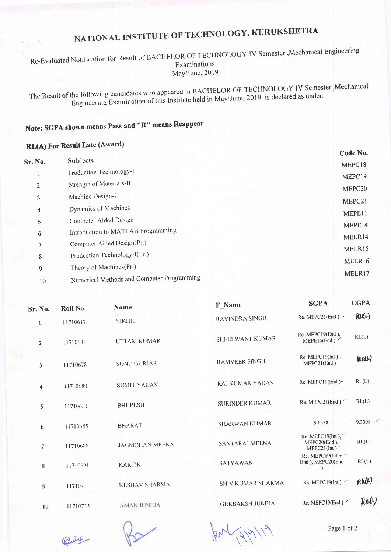# NATIONAL INSTITUTE OF TECHNOLOGY, KURUKSHETRA

Re-Evaluated Notification for Result of BACHELOR OF TECHNOLOGY IV Semester , Mechanical Engineering Examinations May/June, 2019

The Result of the following candidates who appeared in BACHELOR OF TECHNOLOGY IV Semester , Mechanical Engineering Examination of this Institute held in May/June, 2019 is declared as under:-

# Note: SGPA shown means Pass and "R" means Reappear

## **RL(A)** For Result Late (Award)

|                |                |                                            | Code No.           |
|----------------|----------------|--------------------------------------------|--------------------|
| <b>Sr. No.</b> |                | Subjects                                   | MEPC18             |
|                |                | Production Technology-1                    | MEPC19             |
|                | $\overline{2}$ | Strength of Materials-II                   | MEPC <sub>20</sub> |
|                | 3              | Machine Design-I                           |                    |
|                | 4              | Dynamics of Machines                       | MEPC21             |
|                | 5              | Computer Aided Design                      | MEPE11             |
|                | 6              | Introduction to MATLAB Programming         | MEPE14             |
|                | 7              | Computer Aided Design(Pr.)                 | MELR14             |
|                |                | Production Technology-I(Pr.)               | MELR15             |
|                | 8              |                                            | MELR16             |
|                | 9              | Theory of Machines(Pr.)                    | MELR17             |
|                | 10             | Numerical Methods and Computer Programming |                    |

| Sr. No.                 | Roll No. | Name                  | <b>F</b> Name          | <b>SGPA</b>                                                    | <b>CGPA</b>  |
|-------------------------|----------|-----------------------|------------------------|----------------------------------------------------------------|--------------|
| 1                       | 11710617 | <b>NIKHIL</b>         | RAVINDRA SINGH         | Re. MEPC21(End) $\sim$                                         | <b>RIEL)</b> |
| $\overline{2}$          | 11710634 | <b>UTTAM KUMAR</b>    | SHEELWANT KUMAR        | Re. MEPC19(End),<br>MEPE14(End)                                | RL(L)        |
| 3                       | 11710678 | SONU GURJAR           | <b>RAMVEER SINGH</b>   | $Re.$ MEPC19 $(lnt)$ ,-<br>MEPC21(End)                         | POINT)       |
| $\overline{\mathbf{4}}$ | 11710680 | <b>SUMIT YADAV</b>    | <b>RAJ KUMAR YADAV</b> | Re. MEPC19 $(End)$                                             | RL(L)        |
| 5                       | 11710681 | <b>BHUPESH</b>        | <b>SURINDER KUMAR</b>  | Re. MEPC21(End)                                                | RL(L)        |
| 6                       | 11710685 | <b>BHARAT</b>         | <b>SHARWAN KUMAR</b>   | 9.6538                                                         | 9.3398       |
| $\overline{7}$          | 11710688 | <b>JAGMOHAN MEENA</b> | <b>SANTARAJ MEENA</b>  | Re. MEPC19(Int),<br>MEPC20(End),<br>$MEPC21(int)$ <sup>-</sup> | RL(L)        |
| 8                       | 11710691 | <b>KARTIK</b>         | SATYAWAN               | Re. MEPC19( $Int + -$<br>End ), MEPC20(End                     | RL(L)        |
| 9                       | 11710711 | <b>KESHAV SHARMA</b>  | SHIV KUMAR SHARMA      | Re. MEPC19( $Int$ ) $\sim$                                     | Rb01         |
| 10                      | 11710725 | <b>AMAN JUNEJA</b>    | <b>GURBAKSH JUNEJA</b> | Re. MEPC19(End)                                                | Rol          |
|                         |          |                       |                        |                                                                |              |

Point

Jenligphy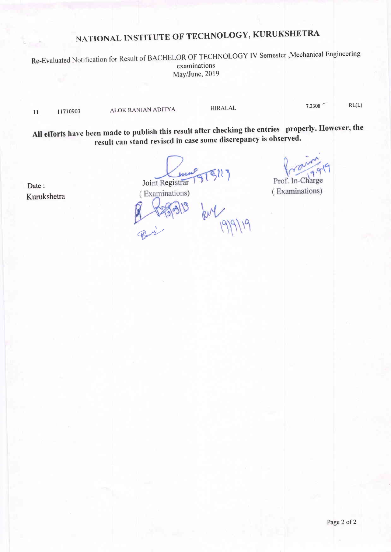# NATIONAL INSTITUTE OF TECHNOLOGY, KURUKSHETRA

Re-Evaluated Notification for Result of BACHELOR OF TECHNOLOGY IV Semester ,Mechanical Engineering examinations May/June,2019

<sup>I</sup>l I <sup>1710903</sup>

ALOK RANJAN ADITYA HIRALAL 7.2308 RL(L)

All efforts have been made to publish this result after checking the entries properly. However, the result can stand revised in case some discrepancy is observed.

 $\sqrt{2}$ Prof. In-Charge (Examinations)

Date: Kurukshetra Joint Registrar<br>(Examinations)

Count